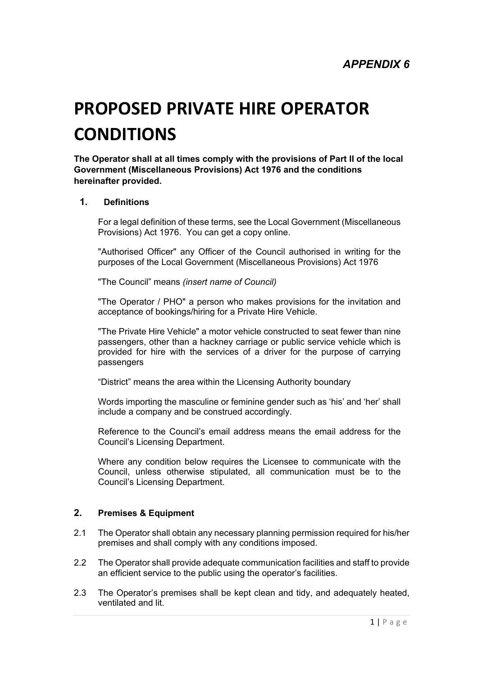# **PROPOSED PRIVATE HIRE OPERATOR CONDITIONS**

**The Operator shall at all times comply with the provisions of Part II of the local Government (Miscellaneous Provisions) Act 1976 and the conditions hereinafter provided.**

## **1. Definitions**

For a legal definition of these terms, see the Local Government (Miscellaneous Provisions) Act 1976. You can get a copy online.

"Authorised Officer" any Officer of the Council authorised in writing for the purposes of the Local Government (Miscellaneous Provisions) Act 1976

"The Council" means *(insert name of Council)*

"The Operator / PHO" a person who makes provisions for the invitation and acceptance of bookings/hiring for a Private Hire Vehicle.

"The Private Hire Vehicle" a motor vehicle constructed to seat fewer than nine passengers, other than a hackney carriage or public service vehicle which is provided for hire with the services of a driver for the purpose of carrying passengers

"District" means the area within the Licensing Authority boundary

Words importing the masculine or feminine gender such as 'his' and 'her' shall include a company and be construed accordingly.

Reference to the Council's email address means the email address for the Council's Licensing Department.

Where any condition below requires the Licensee to communicate with the Council, unless otherwise stipulated, all communication must be to the Council's Licensing Department.

## **2. Premises & Equipment**

- 2.1 The Operator shall obtain any necessary planning permission required for his/her premises and shall comply with any conditions imposed.
- 2.2 The Operator shall provide adequate communication facilities and staff to provide an efficient service to the public using the operator's facilities.
- 2.3 The Operator's premises shall be kept clean and tidy, and adequately heated, ventilated and lit.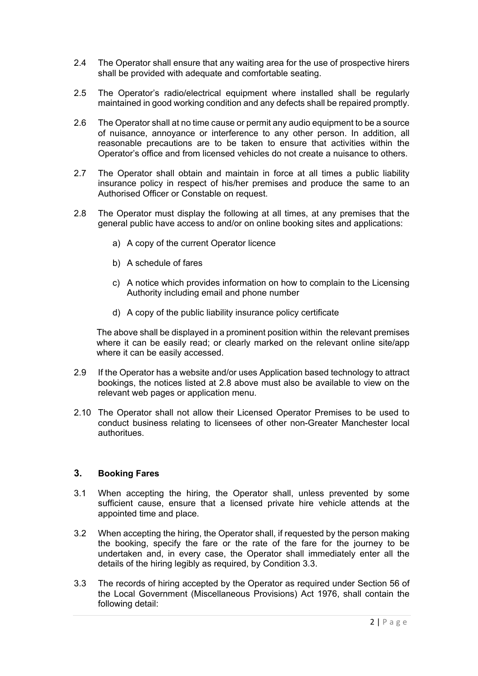- 2.4 The Operator shall ensure that any waiting area for the use of prospective hirers shall be provided with adequate and comfortable seating.
- 2.5 The Operator's radio/electrical equipment where installed shall be regularly maintained in good working condition and any defects shall be repaired promptly.
- 2.6 The Operator shall at no time cause or permit any audio equipment to be a source of nuisance, annoyance or interference to any other person. In addition, all reasonable precautions are to be taken to ensure that activities within the Operator's office and from licensed vehicles do not create a nuisance to others.
- 2.7 The Operator shall obtain and maintain in force at all times a public liability insurance policy in respect of his/her premises and produce the same to an Authorised Officer or Constable on request.
- 2.8 The Operator must display the following at all times, at any premises that the general public have access to and/or on online booking sites and applications:
	- a) A copy of the current Operator licence
	- b) A schedule of fares
	- c) A notice which provides information on how to complain to the Licensing Authority including email and phone number
	- d) A copy of the public liability insurance policy certificate

The above shall be displayed in a prominent position within the relevant premises where it can be easily read; or clearly marked on the relevant online site/app where it can be easily accessed.

- 2.9 If the Operator has a website and/or uses Application based technology to attract bookings, the notices listed at 2.8 above must also be available to view on the relevant web pages or application menu.
- 2.10 The Operator shall not allow their Licensed Operator Premises to be used to conduct business relating to licensees of other non-Greater Manchester local authoritues.

## **3. Booking Fares**

- 3.1 When accepting the hiring, the Operator shall, unless prevented by some sufficient cause, ensure that a licensed private hire vehicle attends at the appointed time and place.
- 3.2 When accepting the hiring, the Operator shall, if requested by the person making the booking, specify the fare or the rate of the fare for the journey to be undertaken and, in every case, the Operator shall immediately enter all the details of the hiring legibly as required, by Condition 3.3.
- 3.3 The records of hiring accepted by the Operator as required under Section 56 of the Local Government (Miscellaneous Provisions) Act 1976, shall contain the following detail: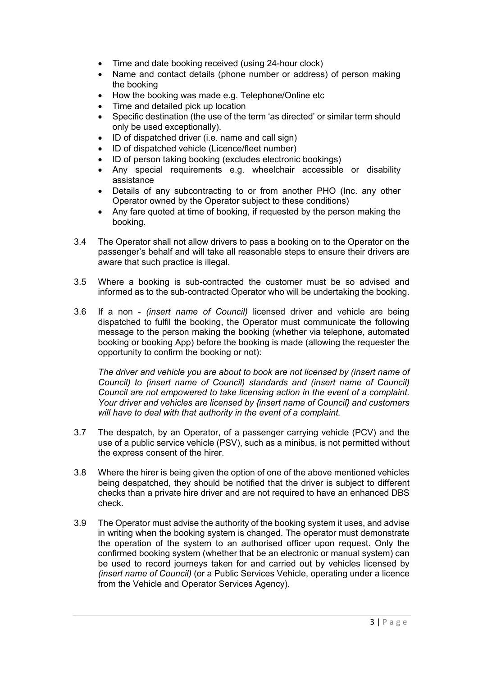- Time and date booking received (using 24-hour clock)
- Name and contact details (phone number or address) of person making the booking
- How the booking was made e.g. Telephone/Online etc
- Time and detailed pick up location
- Specific destination (the use of the term 'as directed' or similar term should only be used exceptionally).
- ID of dispatched driver (i.e. name and call sign)
- ID of dispatched vehicle (Licence/fleet number)
- ID of person taking booking (excludes electronic bookings)
- Any special requirements e.g. wheelchair accessible or disability assistance
- Details of any subcontracting to or from another PHO (Inc. any other Operator owned by the Operator subject to these conditions)
- Any fare quoted at time of booking, if requested by the person making the booking.
- 3.4 The Operator shall not allow drivers to pass a booking on to the Operator on the passenger's behalf and will take all reasonable steps to ensure their drivers are aware that such practice is illegal.
- 3.5 Where a booking is sub-contracted the customer must be so advised and informed as to the sub-contracted Operator who will be undertaking the booking.
- 3.6 If a non *(insert name of Council)* licensed driver and vehicle are being dispatched to fulfil the booking, the Operator must communicate the following message to the person making the booking (whether via telephone, automated booking or booking App) before the booking is made (allowing the requester the opportunity to confirm the booking or not):

*The driver and vehicle you are about to book are not licensed by (insert name of Council) to (insert name of Council) standards and (insert name of Council) Council are not empowered to take licensing action in the event of a complaint. Your driver and vehicles are licensed by {insert name of Council} and customers will have to deal with that authority in the event of a complaint.*

- 3.7 The despatch, by an Operator, of a passenger carrying vehicle (PCV) and the use of a public service vehicle (PSV), such as a minibus, is not permitted without the express consent of the hirer.
- 3.8 Where the hirer is being given the option of one of the above mentioned vehicles being despatched, they should be notified that the driver is subject to different checks than a private hire driver and are not required to have an enhanced DBS check.
- 3.9 The Operator must advise the authority of the booking system it uses, and advise in writing when the booking system is changed. The operator must demonstrate the operation of the system to an authorised officer upon request. Only the confirmed booking system (whether that be an electronic or manual system) can be used to record journeys taken for and carried out by vehicles licensed by *(insert name of Council)* (or a Public Services Vehicle, operating under a licence from the Vehicle and Operator Services Agency).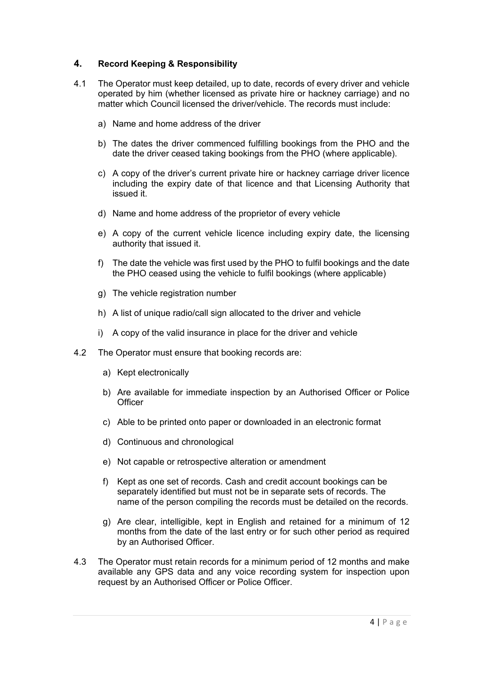# **4. Record Keeping & Responsibility**

- 4.1 The Operator must keep detailed, up to date, records of every driver and vehicle operated by him (whether licensed as private hire or hackney carriage) and no matter which Council licensed the driver/vehicle. The records must include:
	- a) Name and home address of the driver
	- b) The dates the driver commenced fulfilling bookings from the PHO and the date the driver ceased taking bookings from the PHO (where applicable).
	- c) A copy of the driver's current private hire or hackney carriage driver licence including the expiry date of that licence and that Licensing Authority that issued it.
	- d) Name and home address of the proprietor of every vehicle
	- e) A copy of the current vehicle licence including expiry date, the licensing authority that issued it.
	- f) The date the vehicle was first used by the PHO to fulfil bookings and the date the PHO ceased using the vehicle to fulfil bookings (where applicable)
	- g) The vehicle registration number
	- h) A list of unique radio/call sign allocated to the driver and vehicle
	- i) A copy of the valid insurance in place for the driver and vehicle
- 4.2 The Operator must ensure that booking records are:
	- a) Kept electronically
	- b) Are available for immediate inspection by an Authorised Officer or Police **Officer**
	- c) Able to be printed onto paper or downloaded in an electronic format
	- d) Continuous and chronological
	- e) Not capable or retrospective alteration or amendment
	- f) Kept as one set of records. Cash and credit account bookings can be separately identified but must not be in separate sets of records. The name of the person compiling the records must be detailed on the records.
	- g) Are clear, intelligible, kept in English and retained for a minimum of 12 months from the date of the last entry or for such other period as required by an Authorised Officer.
- 4.3 The Operator must retain records for a minimum period of 12 months and make available any GPS data and any voice recording system for inspection upon request by an Authorised Officer or Police Officer.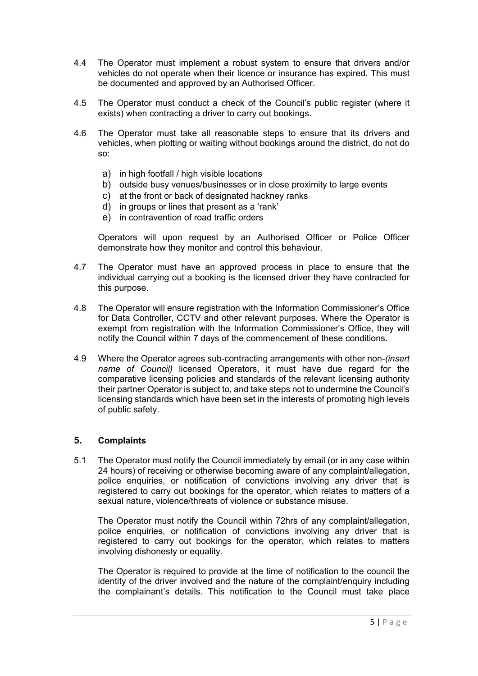- 4.4 The Operator must implement a robust system to ensure that drivers and/or vehicles do not operate when their licence or insurance has expired. This must be documented and approved by an Authorised Officer.
- 4.5 The Operator must conduct a check of the Council's public register (where it exists) when contracting a driver to carry out bookings.
- 4.6 The Operator must take all reasonable steps to ensure that its drivers and vehicles, when plotting or waiting without bookings around the district, do not do so:
	- a) in high footfall / high visible locations
	- b) outside busy venues/businesses or in close proximity to large events
	- c) at the front or back of designated hackney ranks
	- d) in groups or lines that present as a 'rank'
	- e) in contravention of road traffic orders

Operators will upon request by an Authorised Officer or Police Officer demonstrate how they monitor and control this behaviour.

- 4.7 The Operator must have an approved process in place to ensure that the individual carrying out a booking is the licensed driver they have contracted for this purpose.
- 4.8 The Operator will ensure registration with the Information Commissioner's Office for Data Controller, CCTV and other relevant purposes. Where the Operator is exempt from registration with the Information Commissioner's Office, they will notify the Council within 7 days of the commencement of these conditions.
- 4.9 Where the Operator agrees sub-contracting arrangements with other non-*(insert name of Council)* licensed Operators, it must have due regard for the comparative licensing policies and standards of the relevant licensing authority their partner Operator is subject to, and take steps not to undermine the Council's licensing standards which have been set in the interests of promoting high levels of public safety.

## **5. Complaints**

5.1 The Operator must notify the Council immediately by email (or in any case within 24 hours) of receiving or otherwise becoming aware of any complaint/allegation, police enquiries, or notification of convictions involving any driver that is registered to carry out bookings for the operator, which relates to matters of a sexual nature, violence/threats of violence or substance misuse.

The Operator must notify the Council within 72hrs of any complaint/allegation, police enquiries, or notification of convictions involving any driver that is registered to carry out bookings for the operator, which relates to matters involving dishonesty or equality.

The Operator is required to provide at the time of notification to the council the identity of the driver involved and the nature of the complaint/enquiry including the complainant's details. This notification to the Council must take place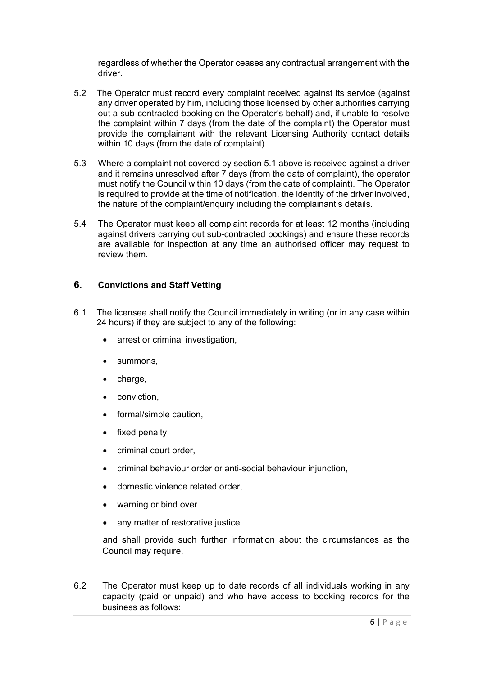regardless of whether the Operator ceases any contractual arrangement with the driver.

- 5.2 The Operator must record every complaint received against its service (against any driver operated by him, including those licensed by other authorities carrying out a sub-contracted booking on the Operator's behalf) and, if unable to resolve the complaint within 7 days (from the date of the complaint) the Operator must provide the complainant with the relevant Licensing Authority contact details within 10 days (from the date of complaint).
- 5.3 Where a complaint not covered by section 5.1 above is received against a driver and it remains unresolved after 7 days (from the date of complaint), the operator must notify the Council within 10 days (from the date of complaint). The Operator is required to provide at the time of notification, the identity of the driver involved, the nature of the complaint/enquiry including the complainant's details.
- 5.4 The Operator must keep all complaint records for at least 12 months (including against drivers carrying out sub-contracted bookings) and ensure these records are available for inspection at any time an authorised officer may request to review them.

## **6. Convictions and Staff Vetting**

- 6.1 The licensee shall notify the Council immediately in writing (or in any case within 24 hours) if they are subject to any of the following:
	- arrest or criminal investigation,
	- summons,
	- $\bullet$  charge,
	- conviction,
	- formal/simple caution,
	- fixed penalty,
	- criminal court order,
	- criminal behaviour order or anti-social behaviour injunction,
	- domestic violence related order.
	- warning or bind over
	- any matter of restorative justice

and shall provide such further information about the circumstances as the Council may require.

6.2 The Operator must keep up to date records of all individuals working in any capacity (paid or unpaid) and who have access to booking records for the business as follows: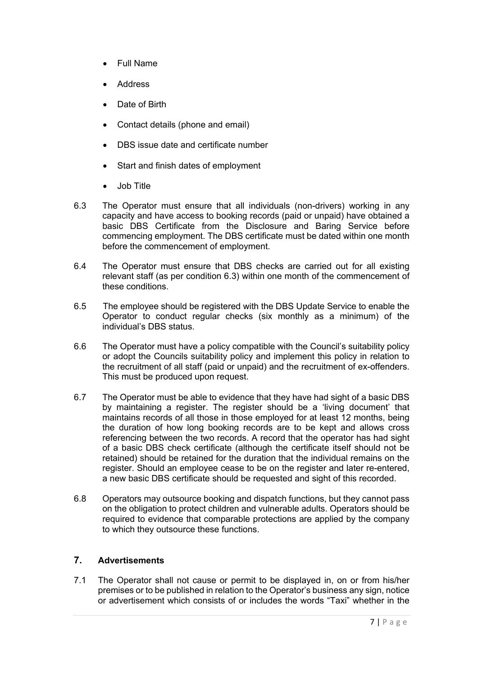- Full Name
- Address
- Date of Birth
- Contact details (phone and email)
- DBS issue date and certificate number
- Start and finish dates of employment
- Job Title
- 6.3 The Operator must ensure that all individuals (non-drivers) working in any capacity and have access to booking records (paid or unpaid) have obtained a basic DBS Certificate from the Disclosure and Baring Service before commencing employment. The DBS certificate must be dated within one month before the commencement of employment.
- 6.4 The Operator must ensure that DBS checks are carried out for all existing relevant staff (as per condition 6.3) within one month of the commencement of these conditions.
- 6.5 The employee should be registered with the DBS Update Service to enable the Operator to conduct regular checks (six monthly as a minimum) of the individual's DBS status.
- 6.6 The Operator must have a policy compatible with the Council's suitability policy or adopt the Councils suitability policy and implement this policy in relation to the recruitment of all staff (paid or unpaid) and the recruitment of ex-offenders. This must be produced upon request.
- 6.7 The Operator must be able to evidence that they have had sight of a basic DBS by maintaining a register. The register should be a 'living document' that maintains records of all those in those employed for at least 12 months, being the duration of how long booking records are to be kept and allows cross referencing between the two records. A record that the operator has had sight of a basic DBS check certificate (although the certificate itself should not be retained) should be retained for the duration that the individual remains on the register. Should an employee cease to be on the register and later re-entered, a new basic DBS certificate should be requested and sight of this recorded.
- 6.8 Operators may outsource booking and dispatch functions, but they cannot pass on the obligation to protect children and vulnerable adults. Operators should be required to evidence that comparable protections are applied by the company to which they outsource these functions.

# **7. Advertisements**

7.1 The Operator shall not cause or permit to be displayed in, on or from his/her premises or to be published in relation to the Operator's business any sign, notice or advertisement which consists of or includes the words "Taxi" whether in the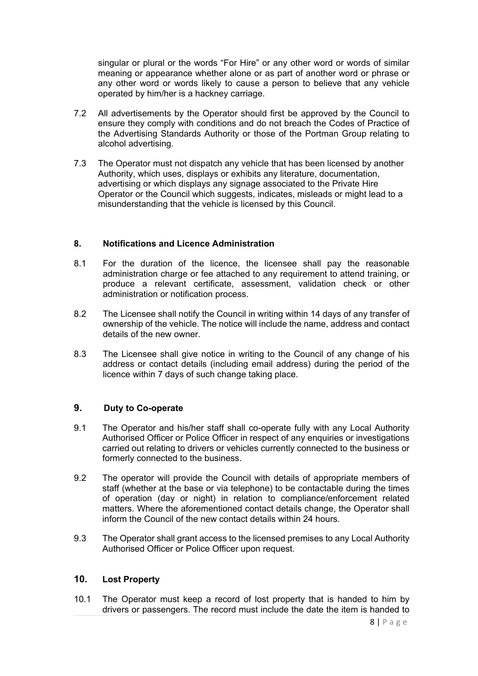singular or plural or the words "For Hire" or any other word or words of similar meaning or appearance whether alone or as part of another word or phrase or any other word or words likely to cause a person to believe that any vehicle operated by him/her is a hackney carriage.

- 7.2 All advertisements by the Operator should first be approved by the Council to ensure they comply with conditions and do not breach the Codes of Practice of the Advertising Standards Authority or those of the Portman Group relating to alcohol advertising.
- 7.3 The Operator must not dispatch any vehicle that has been licensed by another Authority, which uses, displays or exhibits any literature, documentation, advertising or which displays any signage associated to the Private Hire Operator or the Council which suggests, indicates, misleads or might lead to a misunderstanding that the vehicle is licensed by this Council.

## **8. Notifications and Licence Administration**

- 8.1 For the duration of the licence, the licensee shall pay the reasonable administration charge or fee attached to any requirement to attend training, or produce a relevant certificate, assessment, validation check or other administration or notification process.
- 8.2 The Licensee shall notify the Council in writing within 14 days of any transfer of ownership of the vehicle. The notice will include the name, address and contact details of the new owner.
- 8.3 The Licensee shall give notice in writing to the Council of any change of his address or contact details (including email address) during the period of the licence within 7 days of such change taking place.

# **9. Duty to Co-operate**

- 9.1 The Operator and his/her staff shall co-operate fully with any Local Authority Authorised Officer or Police Officer in respect of any enquiries or investigations carried out relating to drivers or vehicles currently connected to the business or formerly connected to the business.
- 9.2 The operator will provide the Council with details of appropriate members of staff (whether at the base or via telephone) to be contactable during the times of operation (day or night) in relation to compliance/enforcement related matters. Where the aforementioned contact details change, the Operator shall inform the Council of the new contact details within 24 hours.
- 9.3 The Operator shall grant access to the licensed premises to any Local Authority Authorised Officer or Police Officer upon request.

## **10. Lost Property**

10.1 The Operator must keep a record of lost property that is handed to him by drivers or passengers. The record must include the date the item is handed to